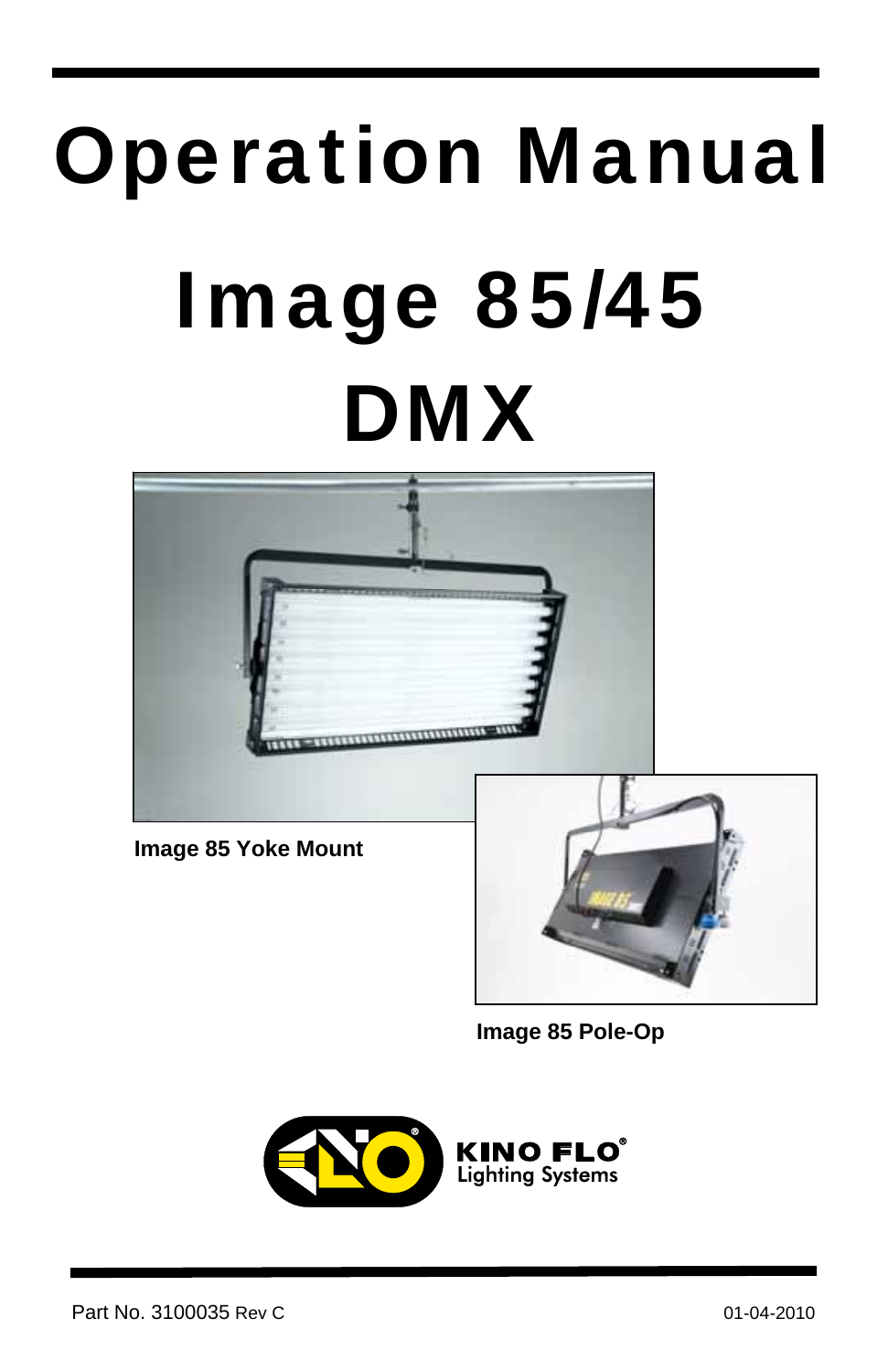# Operation Manual Image 85/45 DMX



**Image 85 Yoke Mount** 



**Image 85 Pole-Op** 

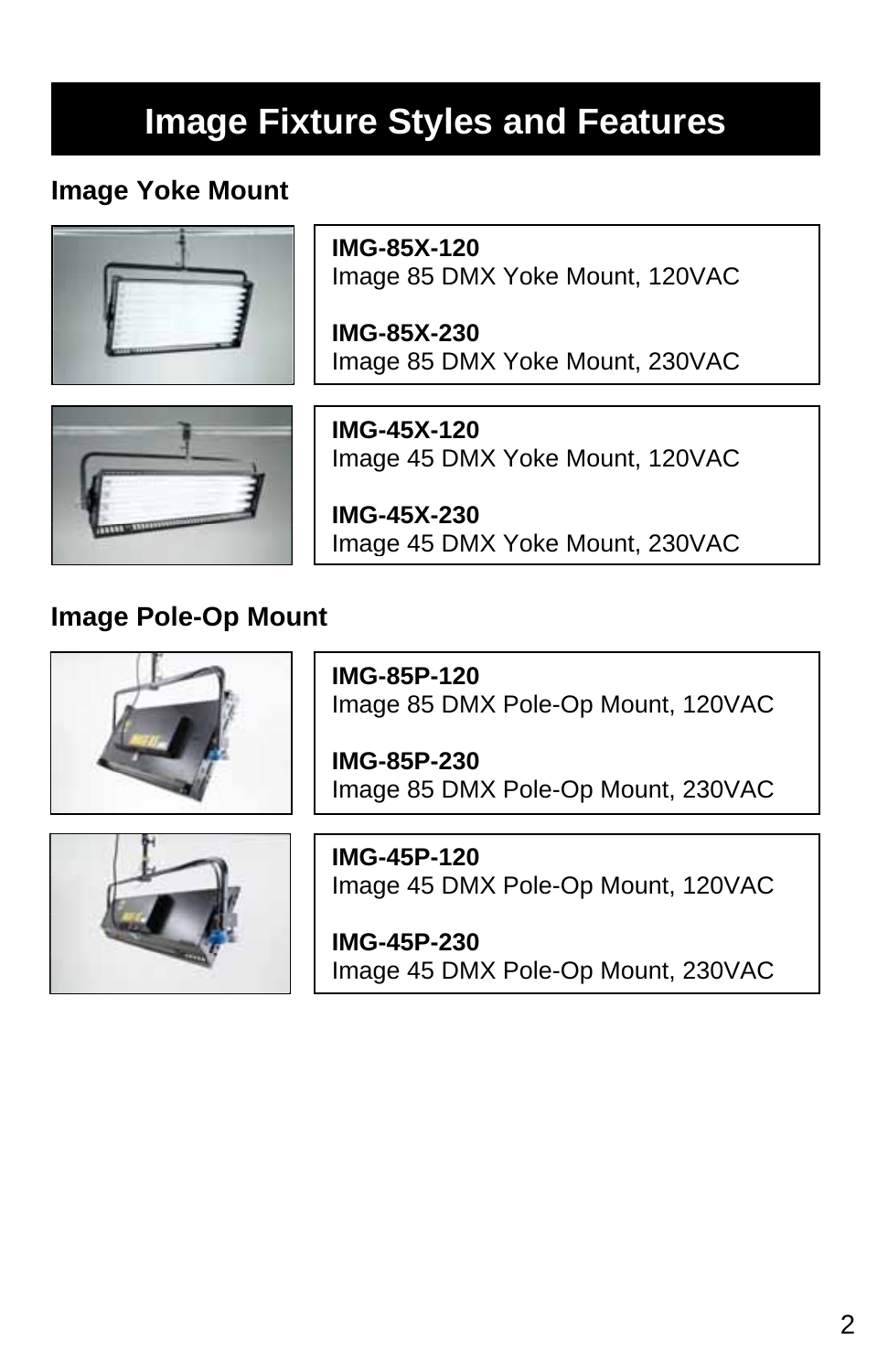# **Image Fixture Styles and Features**

## **Image Yoke Mount**



**IMG-85X-120**  Image 85 DMX Yoke Mount, 120VAC

**IMG-85X-230**  Image 85 DMX Yoke Mount, 230VAC



**IMG-45X-120**  Image 45 DMX Yoke Mount, 120VAC

**IMG-45X-230**  Image 45 DMX Yoke Mount, 230VAC

## **Image Pole-Op Mount**



**IMG-85P-120**  Image 85 DMX Pole-Op Mount, 120VAC

**IMG-85P-230**  Image 85 DMX Pole-Op Mount, 230VAC



**IMG-45P-120**  Image 45 DMX Pole-Op Mount, 120VAC

**IMG-45P-230**  Image 45 DMX Pole-Op Mount, 230VAC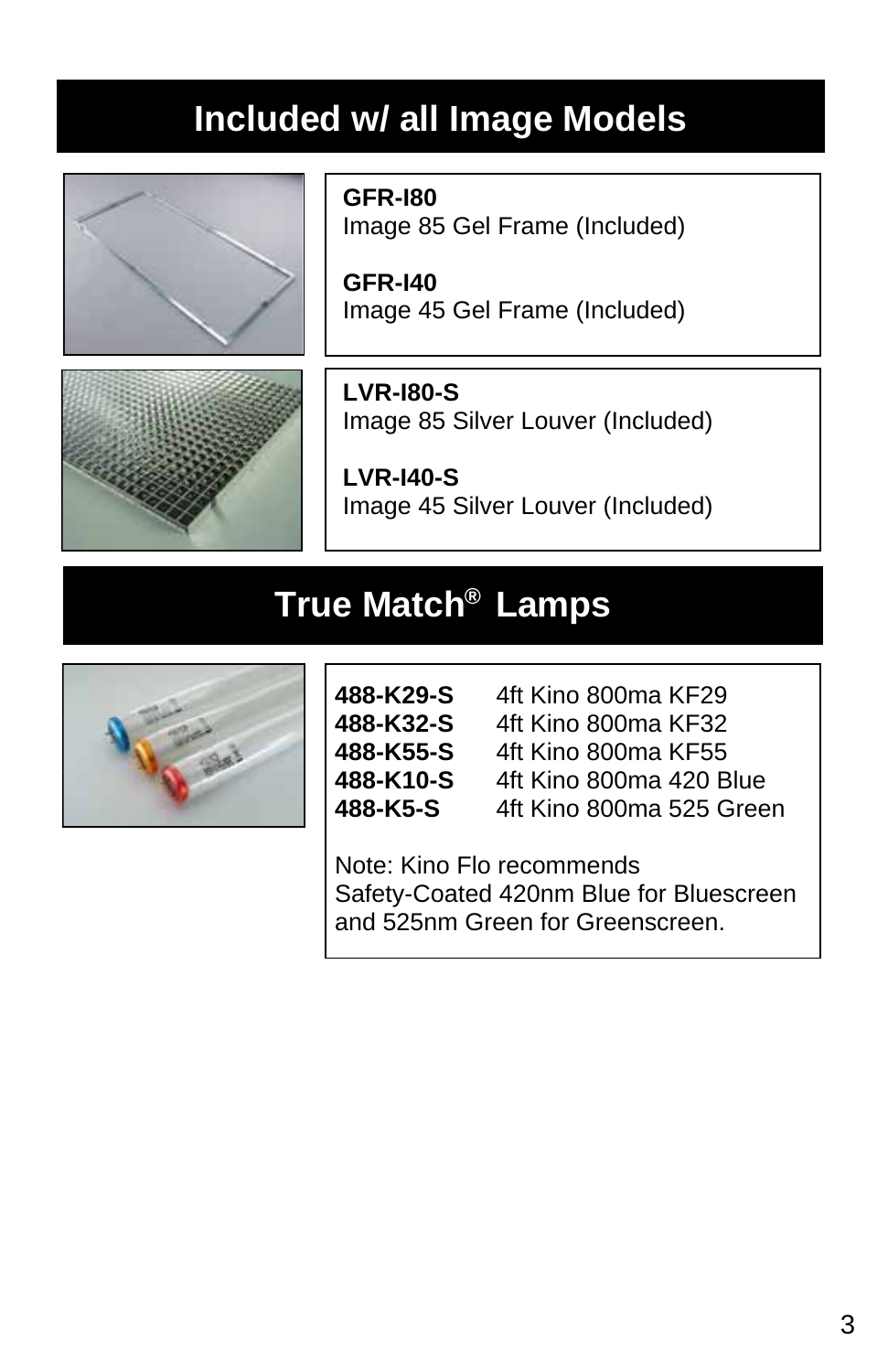# **Included w/ all Image Models**



**GFR-I80** Image 85 Gel Frame (Included)

**GFR-I40**  Image 45 Gel Frame (Included)



**LVR-I80-S**  Image 85 Silver Louver (Included)

**LVR-I40-S** Image 45 Silver Louver (Included)

## $\mathsf{Trule}$  Match $^\circledR$  Lamps



**488-K29-S** 4ft Kino 800ma KF29 **488-K32-S** 4ft Kino 800ma KF32<br>**488-K55-S** 4ft Kino 800ma KF55<br>**488-K10-S** 4ft Kino 800ma 420 B **488-K55-S** 4ft Kino 800ma KF55 **488-K10-S** 4ft Kino 800ma 420 Blue **488-K5-S** 4ft Kino 800ma 525 Green

Note: Kino Flo recommends Safety-Coated 420nm Blue for Bluescreen and 525nm Green for Greenscreen.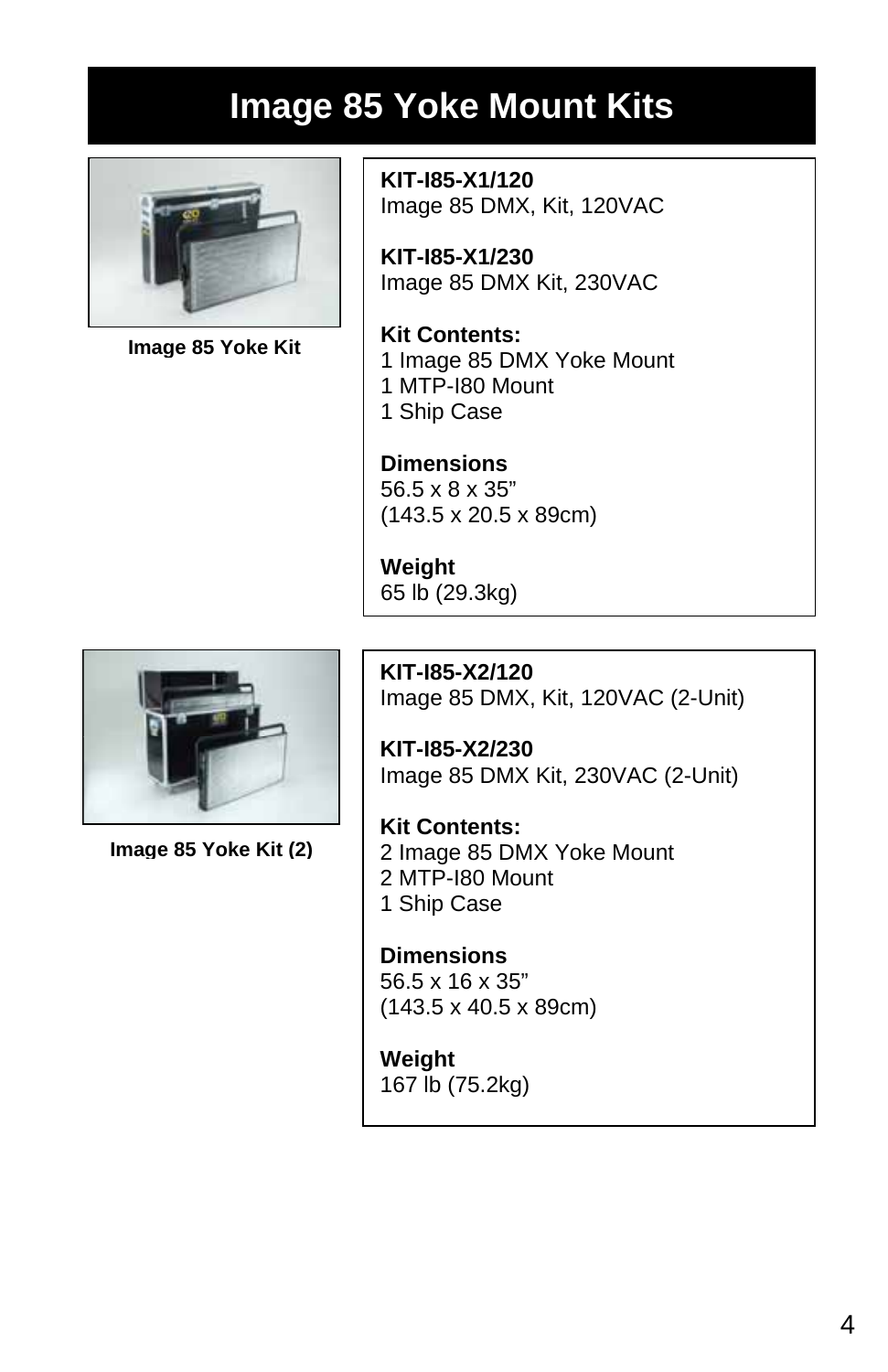# **Image 85 Yoke Mount Kits**



**Image 85 Yoke Kit**

**KIT-I85-X1/120**  Image 85 DMX, Kit, 120VAC

**KIT-I85-X1/230**  Image 85 DMX Kit, 230VAC

**Kit Contents:**  1 Image 85 DMX Yoke Mount 1 MTP-I80 Mount 1 Ship Case

**Dimensions**  56.5 x 8 x 35" (143.5 x 20.5 x 89cm)

**Weight** 65 lb (29.3kg)

**KIT-I85-X2/120**  Image 85 DMX, Kit, 120VAC (2-Unit)

**KIT-I85-X2/230**  Image 85 DMX Kit, 230VAC (2-Unit)

**Kit Contents:**  2 Image 85 DMX Yoke Mount 2 MTP-I80 Mount 1 Ship Case

**Dimensions**  56.5 x 16 x 35" (143.5 x 40.5 x 89cm)

**Weight** 167 lb (75.2kg)



**Image 85 Yoke Kit (2)**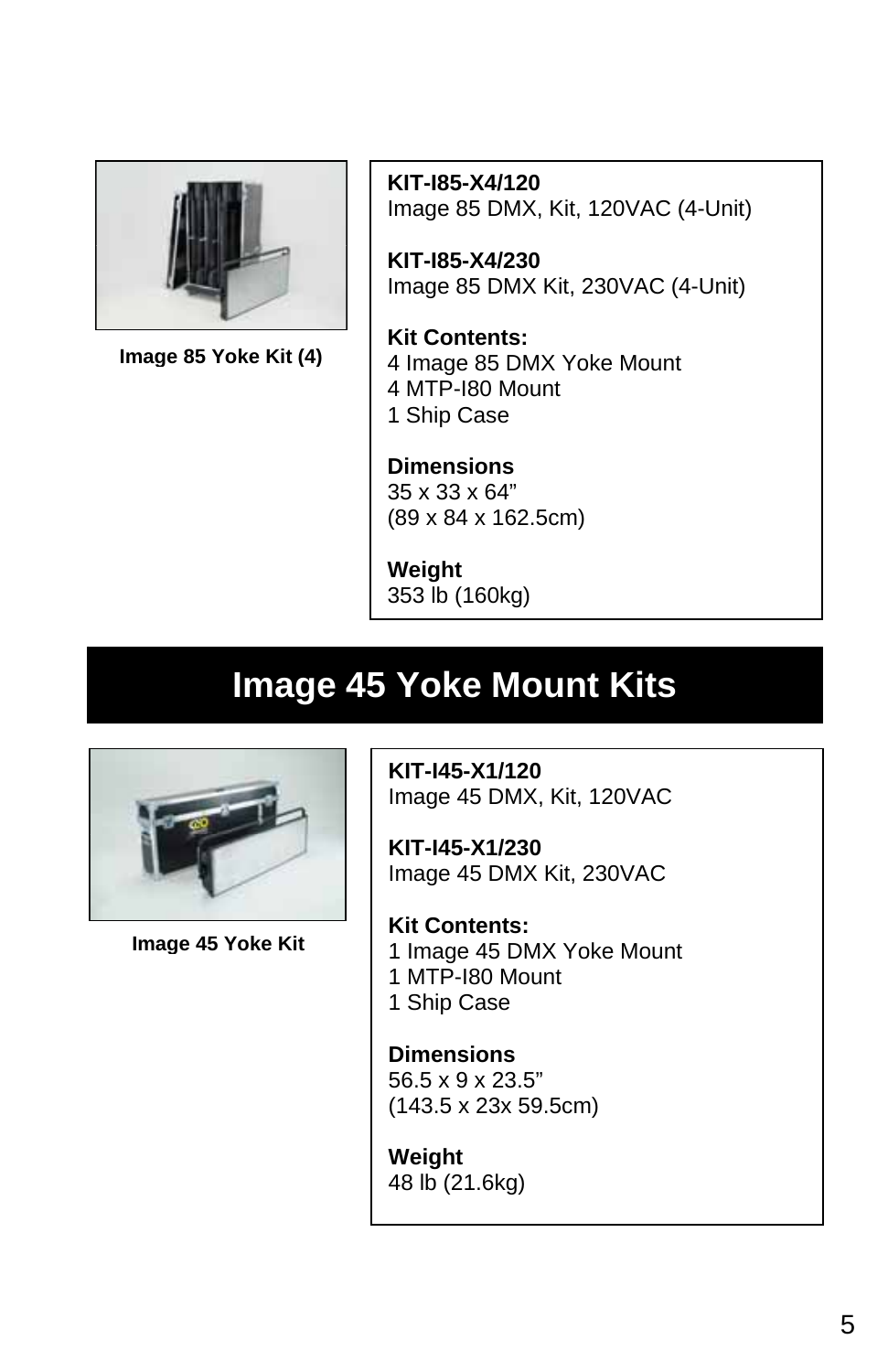

**Image 85 Yoke Kit (4)**

**KIT-I85-X4/120**  Image 85 DMX, Kit, 120VAC (4-Unit)

**KIT-I85-X4/230**  Image 85 DMX Kit, 230VAC (4-Unit)

**Kit Contents:**  4 Image 85 DMX Yoke Mount 4 MTP-I80 Mount 1 Ship Case

**Dimensions**  35 x 33 x 64" (89 x 84 x 162.5cm)

**Weight** 353 lb (160kg)

# **Image 45 Yoke Mount Kits**



**Image 45 Yoke Kit**

**KIT-I45-X1/120**  Image 45 DMX, Kit, 120VAC

**KIT-I45-X1/230**  Image 45 DMX Kit, 230VAC

**Kit Contents:**  1 Image 45 DMX Yoke Mount 1 MTP-I80 Mount 1 Ship Case

**Dimensions**  56.5 x 9 x 23.5" (143.5 x 23x 59.5cm)

**Weight** 48 lb (21.6kg)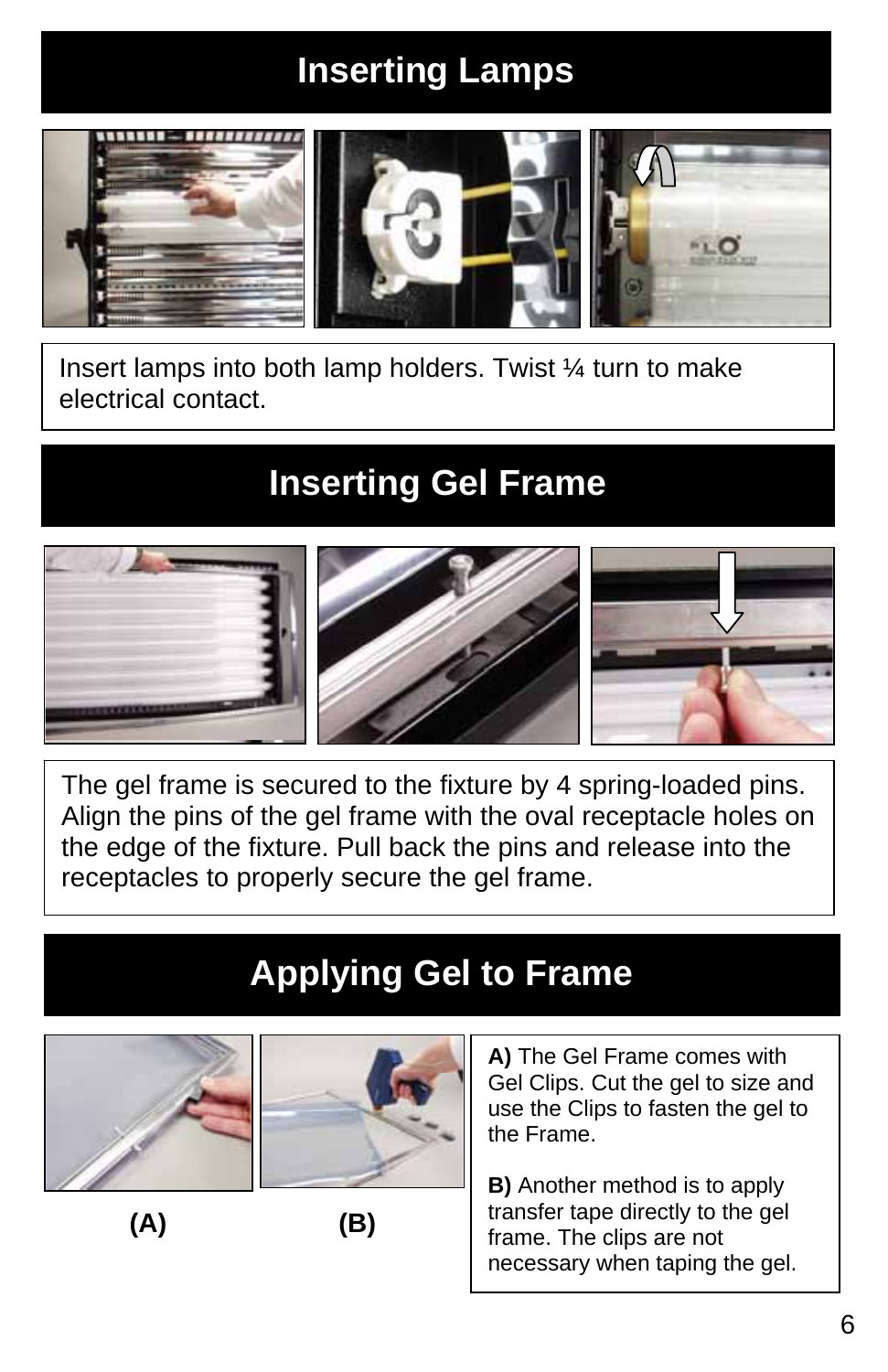# **Inserting Lamps**



Insert lamps into both lamp holders. Twist ¼ turn to make electrical contact.

## **Inserting Gel Frame**



The gel frame is secured to the fixture by 4 spring-loaded pins. Align the pins of the gel frame with the oval receptacle holes on the edge of the fixture. Pull back the pins and release into the receptacles to properly secure the gel frame.

# **Applying Gel to Frame**





**(A) (B)** 

**A)** The Gel Frame comes with Gel Clips. Cut the gel to size and use the Clips to fasten the gel to the Frame.

**B)** Another method is to apply transfer tape directly to the gel frame. The clips are not necessary when taping the gel.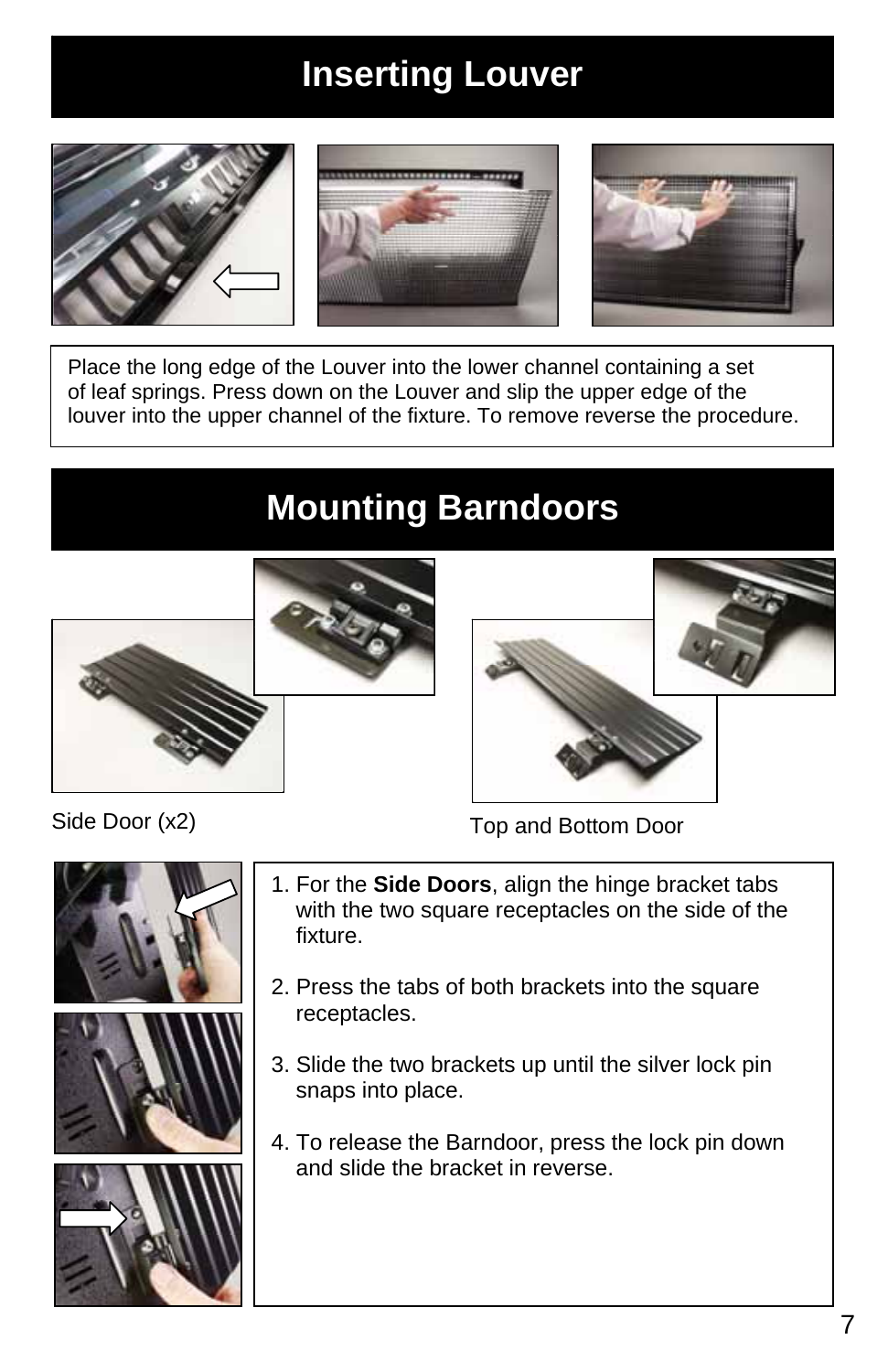## **Inserting Louver**



Place the long edge of the Louver into the lower channel containing a set of leaf springs. Press down on the Louver and slip the upper edge of the louver into the upper channel of the fixture. To remove reverse the procedure.

# **Mounting Barndoors**





Side Door (x2)







- Top and Bottom Door
- 1. For the **Side Doors**, align the hinge bracket tabs with the two square receptacles on the side of the fixture.
- 2. Press the tabs of both brackets into the square receptacles.
- 3. Slide the two brackets up until the silver lock pin snaps into place.
- 4. To release the Barndoor, press the lock pin down and slide the bracket in reverse.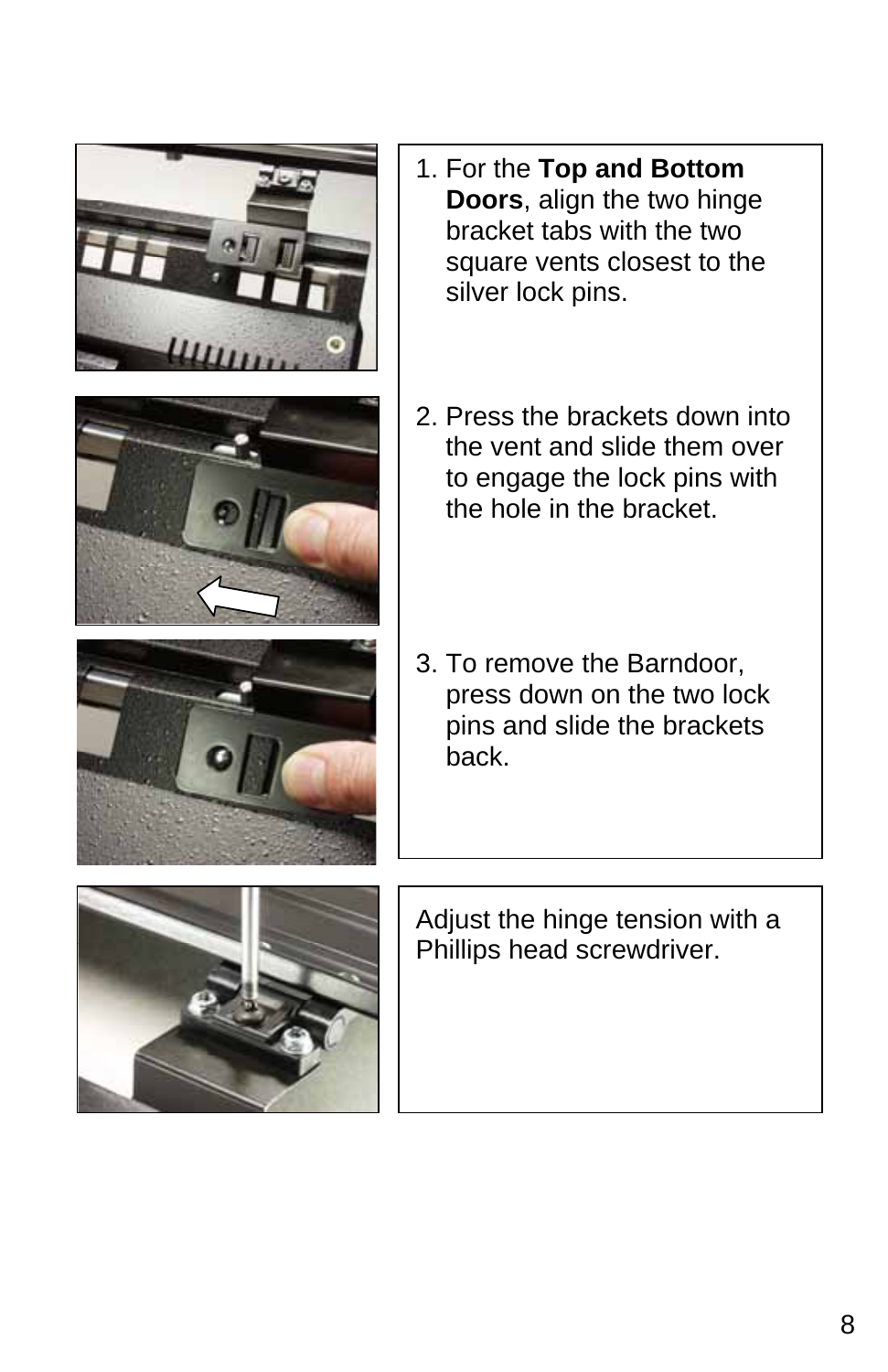





- 1. For the **Top and Bottom Doors**, align the two hinge bracket tabs with the two square vents closest to the silver lock pins.
- 2. Press the brackets down into the vent and slide them over to engage the lock pins with the hole in the bracket.
- 3. To remove the Barndoor, press down on the two lock pins and slide the brackets back.



Adjust the hinge tension with a Phillips head screwdriver.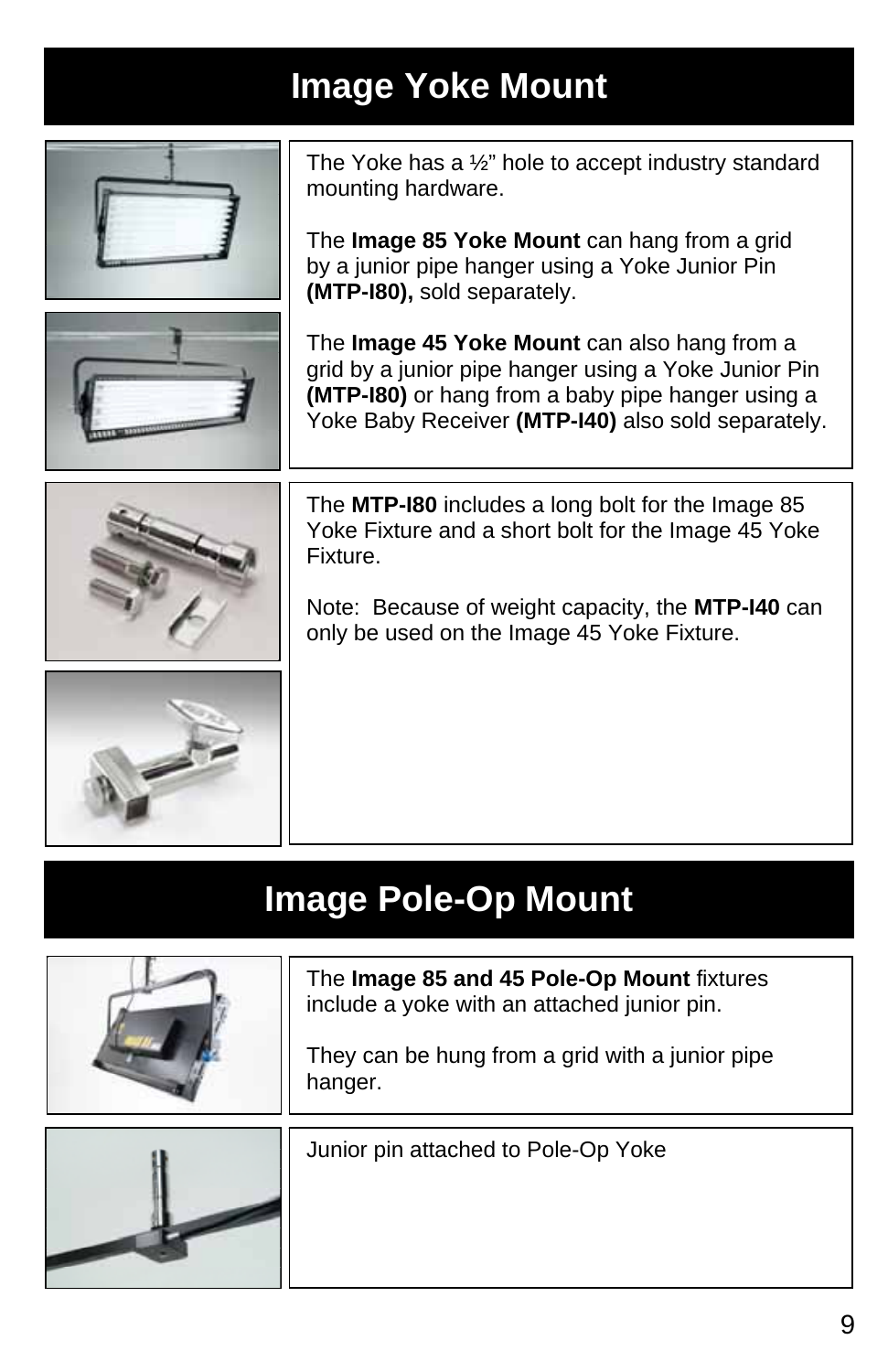# **Image Yoke Mount**





The Yoke has a ½" hole to accept industry standard mounting hardware.

The **Image 85 Yoke Mount** can hang from a grid by a junior pipe hanger using a Yoke Junior Pin **(MTP-I80),** sold separately.

The **Image 45 Yoke Mount** can also hang from a grid by a junior pipe hanger using a Yoke Junior Pin **(MTP-I80)** or hang from a baby pipe hanger using a Yoke Baby Receiver **(MTP-I40)** also sold separately.



The **MTP-I80** includes a long bolt for the Image 85 Yoke Fixture and a short bolt for the Image 45 Yoke Fixture.

Note: Because of weight capacity, the **MTP-I40** can only be used on the Image 45 Yoke Fixture.

## **Image Pole-Op Mount**



The **Image 85 and 45 Pole-Op Mount** fixtures include a yoke with an attached junior pin.

They can be hung from a grid with a junior pipe hanger.



Junior pin attached to Pole-Op Yoke

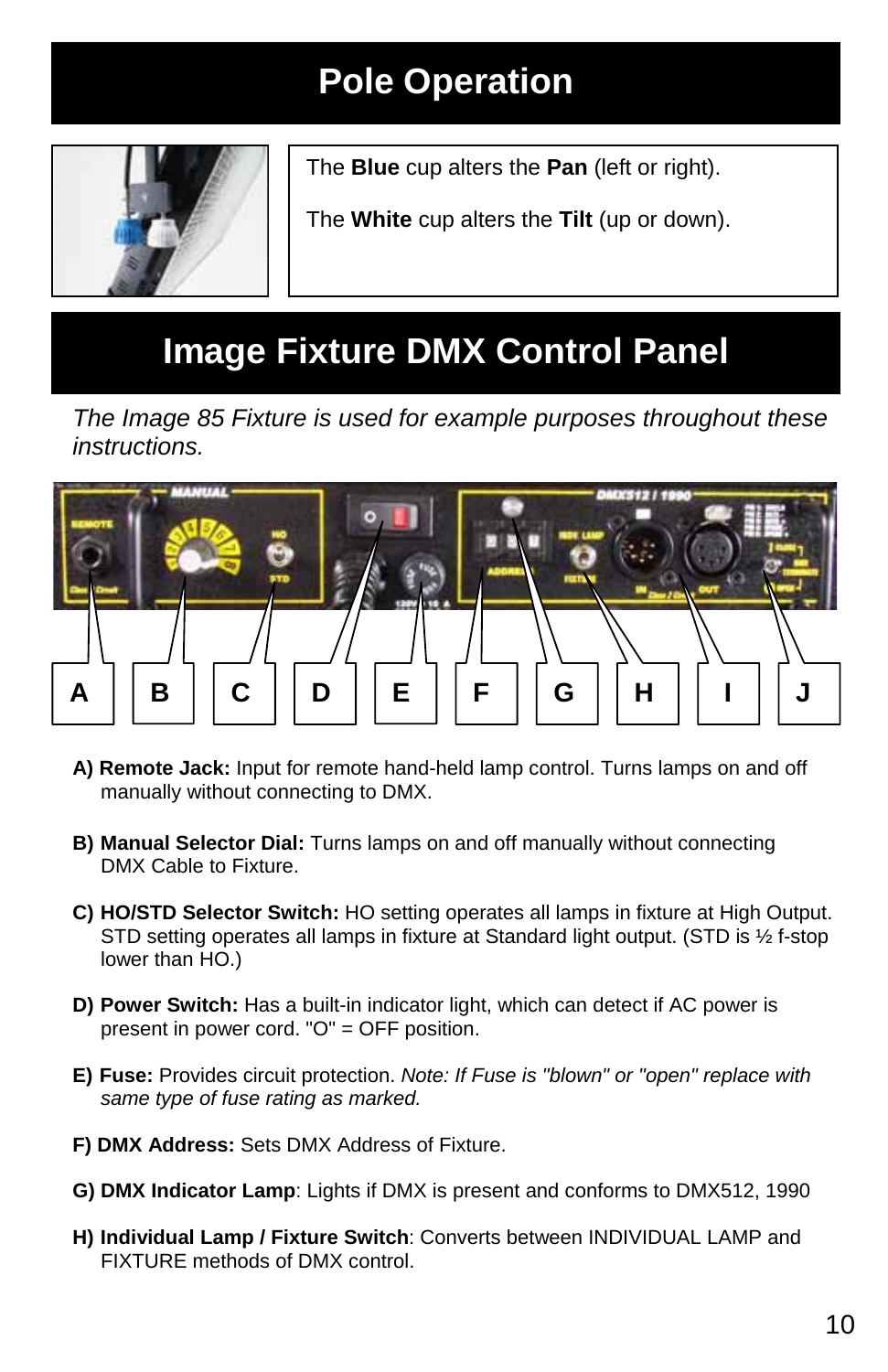# **Pole Operation**



The **Blue** cup alters the **Pan** (left or right).

The **White** cup alters the **Tilt** (up or down).

## **Image Fixture DMX Control Panel**

*The Image 85 Fixture is used for example purposes throughout these instructions.* 



- **A) Remote Jack:** Input for remote hand-held lamp control. Turns lamps on and off manually without connecting to DMX.
- **B) Manual Selector Dial:** Turns lamps on and off manually without connecting DMX Cable to Fixture.
- **C) HO/STD Selector Switch:** HO setting operates all lamps in fixture at High Output. STD setting operates all lamps in fixture at Standard light output. (STD is ½ f-stop lower than HO.)
- **D) Power Switch:** Has a built-in indicator light, which can detect if AC power is present in power cord. "O" = OFF position.
- **E) Fuse:** Provides circuit protection. *Note: If Fuse is "blown" or "open" replace with same type of fuse rating as marked.*
- **F) DMX Address:** Sets DMX Address of Fixture.
- **G) DMX Indicator Lamp**: Lights if DMX is present and conforms to DMX512, 1990
- **H) Individual Lamp / Fixture Switch**: Converts between INDIVIDUAL LAMP and FIXTURE methods of DMX control.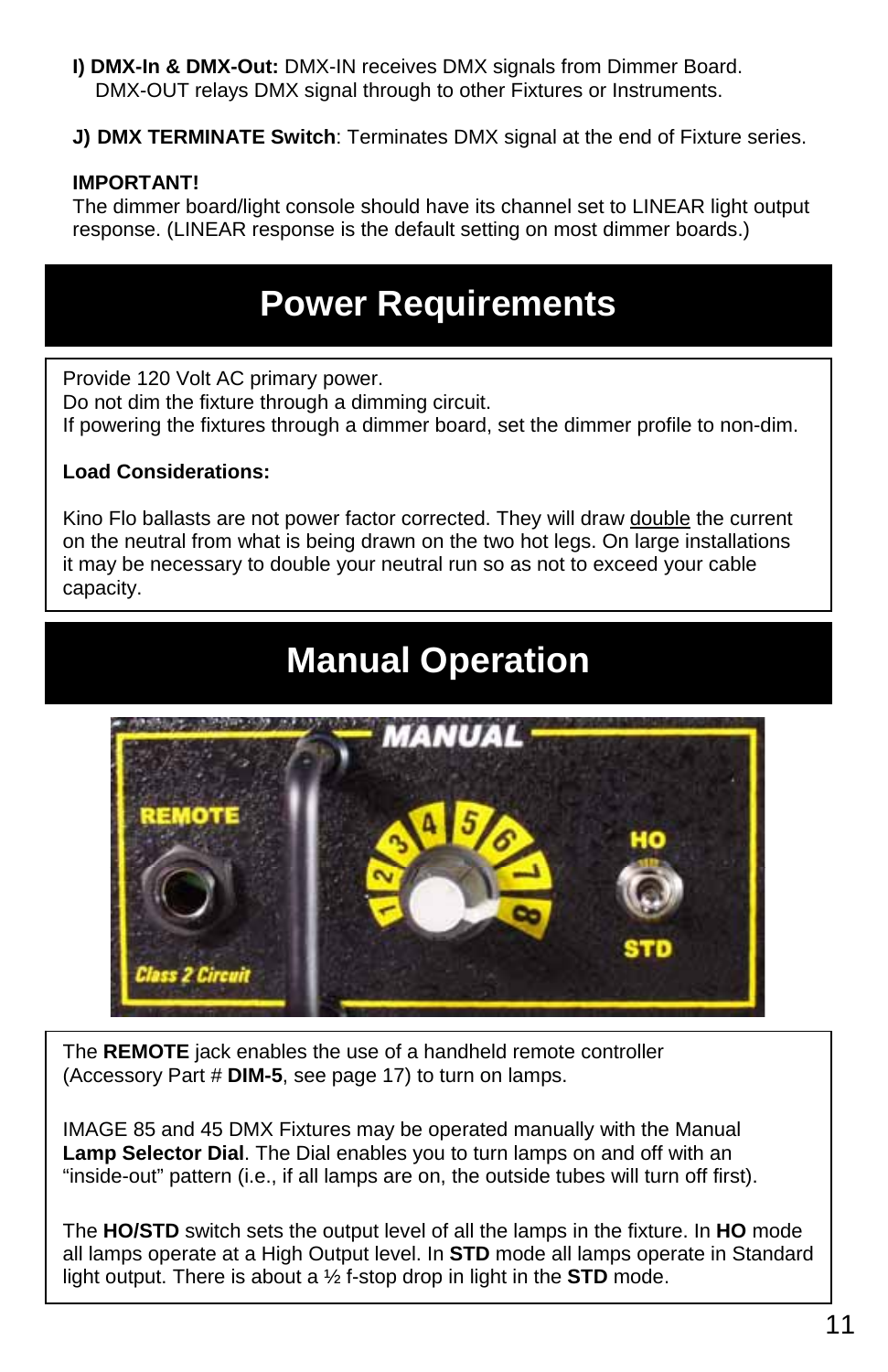- **I) DMX-In & DMX-Out:** DMX-IN receives DMX signals from Dimmer Board. DMX-OUT relays DMX signal through to other Fixtures or Instruments.
- **J) DMX TERMINATE Switch**: Terminates DMX signal at the end of Fixture series.

## **IMPORTANT!**

The dimmer board/light console should have its channel set to LINEAR light output response. (LINEAR response is the default setting on most dimmer boards.)

## **Power Requirements**

Provide 120 Volt AC primary power.

Do not dim the fixture through a dimming circuit. If powering the fixtures through a dimmer board, set the dimmer profile to non-dim.

### **Load Considerations:**

Kino Flo ballasts are not power factor corrected. They will draw double the current on the neutral from what is being drawn on the two hot legs. On large installations it may be necessary to double your neutral run so as not to exceed your cable capacity.

## **Manual Operation**



The **REMOTE** jack enables the use of a handheld remote controller (Accessory Part # **DIM-5**, see page 17) to turn on lamps.

IMAGE 85 and 45 DMX Fixtures may be operated manually with the Manual **Lamp Selector Dial**. The Dial enables you to turn lamps on and off with an "inside-out" pattern (i.e., if all lamps are on, the outside tubes will turn off first).

The **HO/STD** switch sets the output level of all the lamps in the fixture. In **HO** mode all lamps operate at a High Output level. In **STD** mode all lamps operate in Standard light output. There is about a ½ f-stop drop in light in the **STD** mode.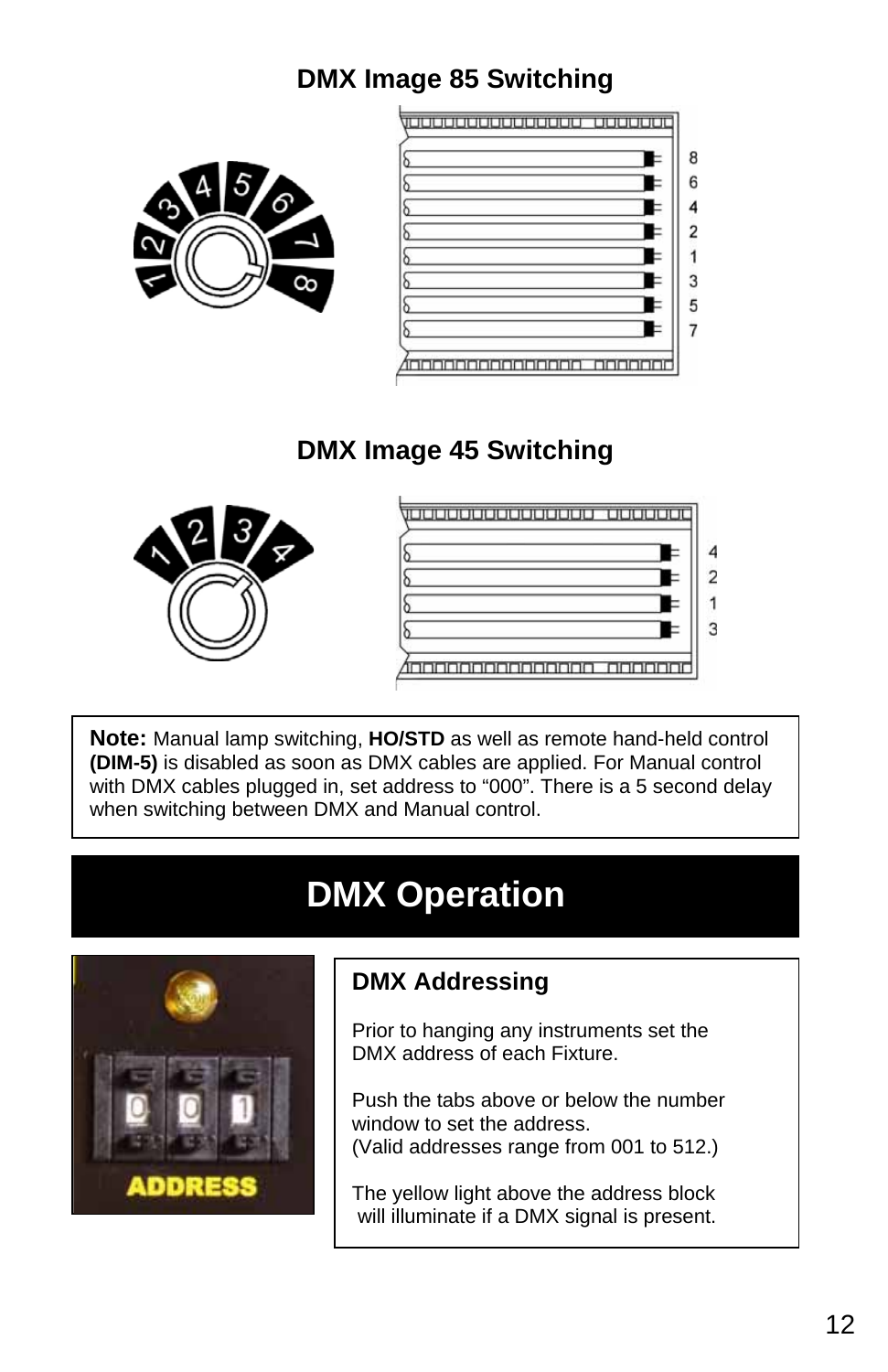## **DMX Image 85 Switching**





## **DMX Image 45 Switching**



 $\overline{\phantom{a}}$ 



**Note:** Manual lamp switching, **HO/STD** as well as remote hand-held control **(DIM-5)** is disabled as soon as DMX cables are applied. For Manual control with DMX cables plugged in, set address to "000". There is a 5 second delay when switching between DMX and Manual control.

# **DMX Operation**



## **DMX Addressing**

Prior to hanging any instruments set the DMX address of each Fixture.

Push the tabs above or below the number window to set the address. (Valid addresses range from 001 to 512.)

The yellow light above the address block will illuminate if a DMX signal is present.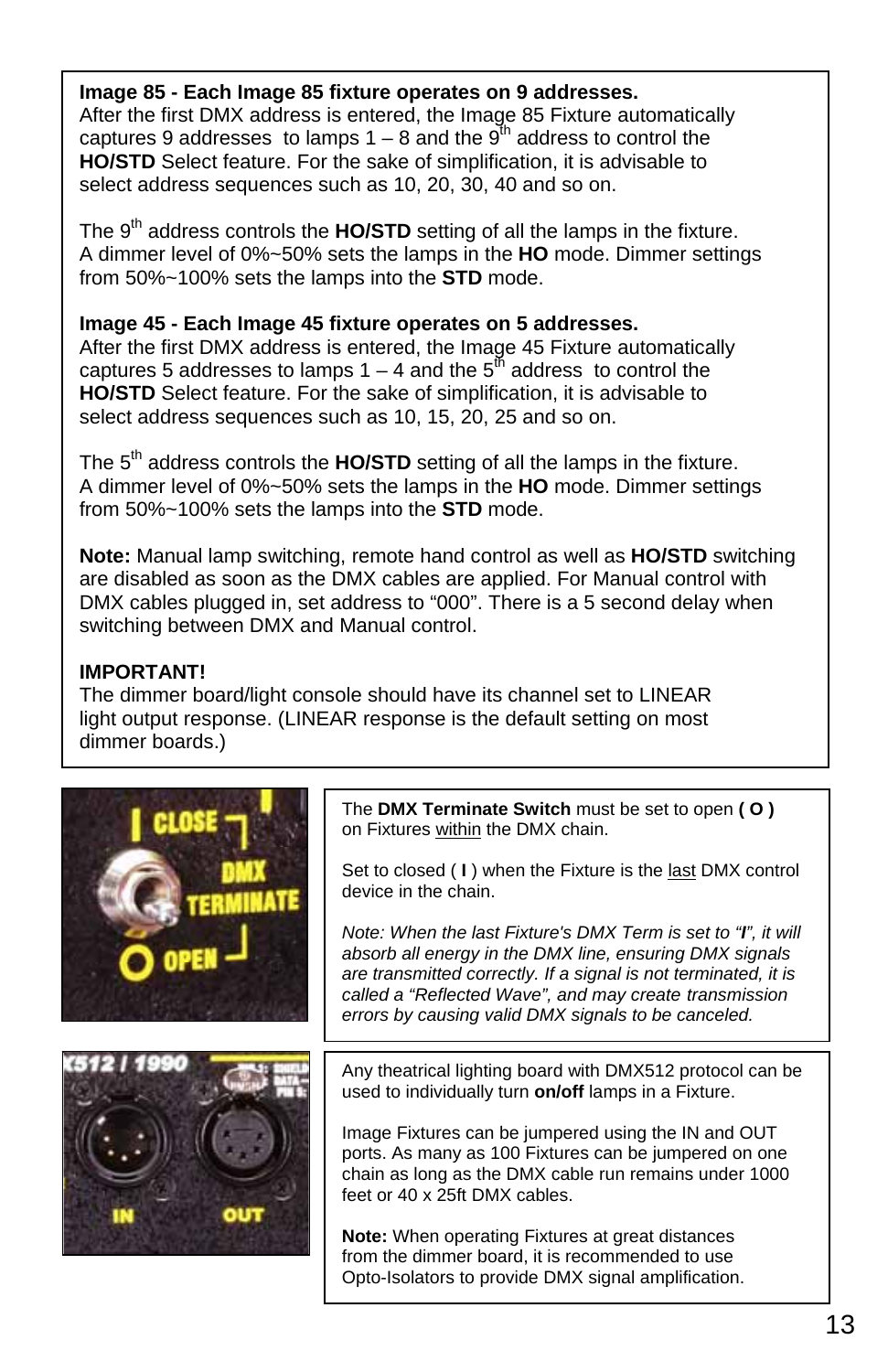#### **Image 85 - Each Image 85 fixture operates on 9 addresses.**

After the first DMX address is entered, the Image 85 Fixture automatically captures 9 addresses to lamps  $1 - 8$  and the  $9^{th}$  address to control the **HO/STD** Select feature. For the sake of simplification, it is advisable to select address sequences such as 10, 20, 30, 40 and so on.

The 9<sup>th</sup> address controls the **HO/STD** setting of all the lamps in the fixture. A dimmer level of 0%~50% sets the lamps in the **HO** mode. Dimmer settings from 50%~100% sets the lamps into the **STD** mode.

#### **Image 45 - Each Image 45 fixture operates on 5 addresses.**

After the first DMX address is entered, the Image 45 Fixture automatically captures 5 addresses to lamps  $1 - 4$  and the  $5<sup>th</sup>$  address to control the **HO/STD** Select feature. For the sake of simplification, it is advisable to select address sequences such as 10, 15, 20, 25 and so on.

The 5<sup>th</sup> address controls the **HO/STD** setting of all the lamps in the fixture. A dimmer level of 0%~50% sets the lamps in the **HO** mode. Dimmer settings from 50%~100% sets the lamps into the **STD** mode.

**Note:** Manual lamp switching, remote hand control as well as **HO/STD** switching are disabled as soon as the DMX cables are applied. For Manual control with DMX cables plugged in, set address to "000". There is a 5 second delay when switching between DMX and Manual control.

#### **IMPORTANT!**

The dimmer board/light console should have its channel set to LINEAR light output response. (LINEAR response is the default setting on most dimmer boards.)

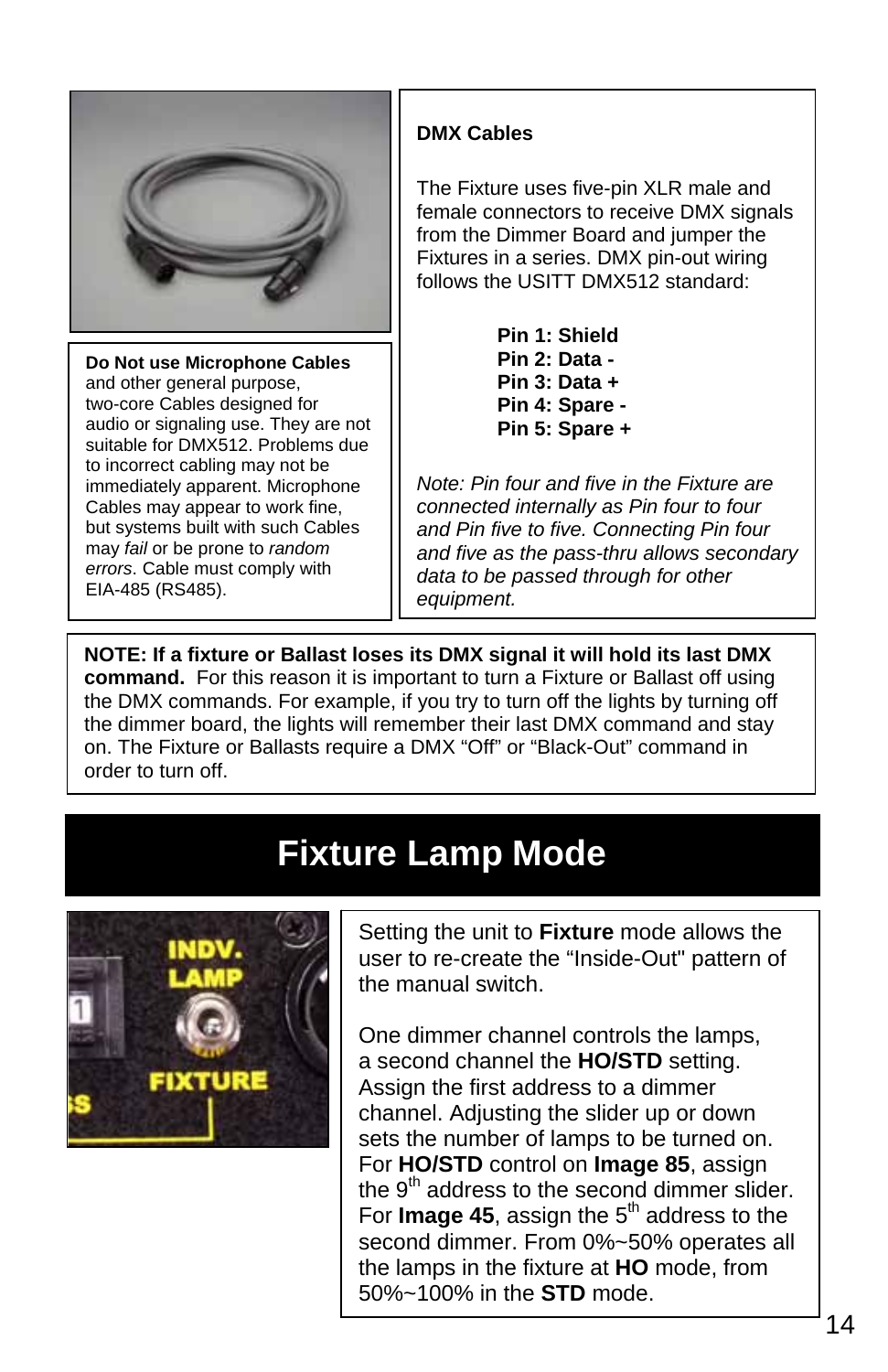

**Do Not use Microphone Cables** and other general purpose, two-core Cables designed for audio or signaling use. They are not suitable for DMX512. Problems due to incorrect cabling may not be immediately apparent. Microphone Cables may appear to work fine, but systems built with such Cables may *fail* or be prone to *random errors*. Cable must comply with EIA-485 (RS485).

### **DMX Cables**

The Fixture uses five-pin XLR male and female connectors to receive DMX signals from the Dimmer Board and jumper the Fixtures in a series. DMX pin-out wiring follows the USITT DMX512 standard:

| Pin 1: Shield  |
|----------------|
| Pin 2: Data -  |
| Pin 3: Data +  |
| Pin 4: Spare - |
| Pin 5: Spare + |
|                |

*Note: Pin four and five in the Fixture are connected internally as Pin four to four and Pin five to five. Connecting Pin four and five as the pass-thru allows secondary data to be passed through for other equipment.*

**NOTE: If a fixture or Ballast loses its DMX signal it will hold its last DMX command.** For this reason it is important to turn a Fixture or Ballast off using the DMX commands. For example, if you try to turn off the lights by turning off the dimmer board, the lights will remember their last DMX command and stay on. The Fixture or Ballasts require a DMX "Off" or "Black-Out" command in order to turn off.

## **Fixture Lamp Mode**



Setting the unit to **Fixture** mode allows the user to re-create the "Inside-Out" pattern of the manual switch.

One dimmer channel controls the lamps, a second channel the **HO/STD** setting. Assign the first address to a dimmer channel. Adjusting the slider up or down sets the number of lamps to be turned on. For **HO/STD** control on **Image 85**, assign the  $9<sup>th</sup>$  address to the second dimmer slider. For **Image 45**, assign the  $5<sup>th</sup>$  address to the second dimmer. From 0%~50% operates all the lamps in the fixture at **HO** mode, from 50%~100% in the **STD** mode.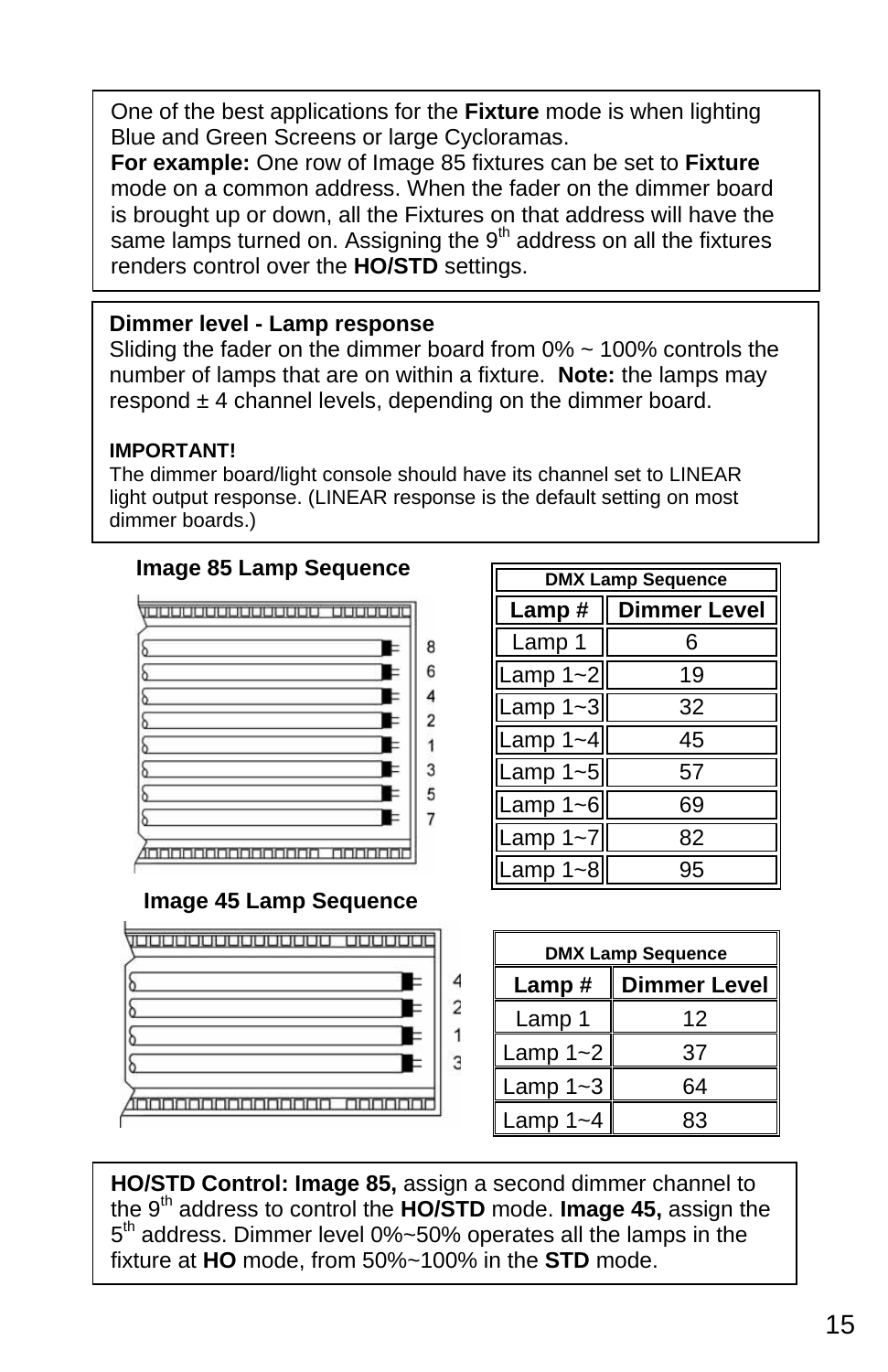One of the best applications for the **Fixture** mode is when lighting Blue and Green Screens or large Cycloramas.

**For example:** One row of Image 85 fixtures can be set to **Fixture** mode on a common address. When the fader on the dimmer board is brought up or down, all the Fixtures on that address will have the same lamps turned on. Assigning the  $9<sup>th</sup>$  address on all the fixtures renders control over the **HO/STD** settings.

## **Dimmer level - Lamp response**

Sliding the fader on the dimmer board from 0% ~ 100% controls the number of lamps that are on within a fixture. **Note:** the lamps may respond  $\pm$  4 channel levels, depending on the dimmer board.

### **IMPORTANT!**

The dimmer board/light console should have its channel set to LINEAR light output response. (LINEAR response is the default setting on most dimmer boards.)

## **Image 85 Lamp Sequence**



## **Image 45 Lamp Sequence**



| <b>DMX Lamp Sequence</b> |                       |  |
|--------------------------|-----------------------|--|
|                          | Lamp #   Dimmer Level |  |
| Lamp 1                   | 6                     |  |
| Lamp $1 - 2$             | 19                    |  |
| Lamp $1 - 3$             | 32                    |  |
| Lamp $1 - 4$             | 45                    |  |
| Lamp $1 - 5$             | 57                    |  |
| Lamp $1 - 6$             | 69                    |  |
| Lamp $1 - 7$             | 82                    |  |
| Lamp $1 - 8$             | 95                    |  |

| <b>DMX Lamp Sequence</b> |                     |  |
|--------------------------|---------------------|--|
| Lamp#                    | <b>Dimmer Level</b> |  |
| Lamp 1                   | 12                  |  |
| Lamp $1 - 2$             | 37                  |  |
| Lamp $1 - 3$             | 64                  |  |
| Lamp $1 - 4$             | ฉว                  |  |

**HO/STD Control: Image 85,** assign a second dimmer channel to the 9th address to control the **HO/STD** mode. **Image 45,** assign the 5th address. Dimmer level 0%~50% operates all the lamps in the fixture at **HO** mode, from 50%~100% in the **STD** mode.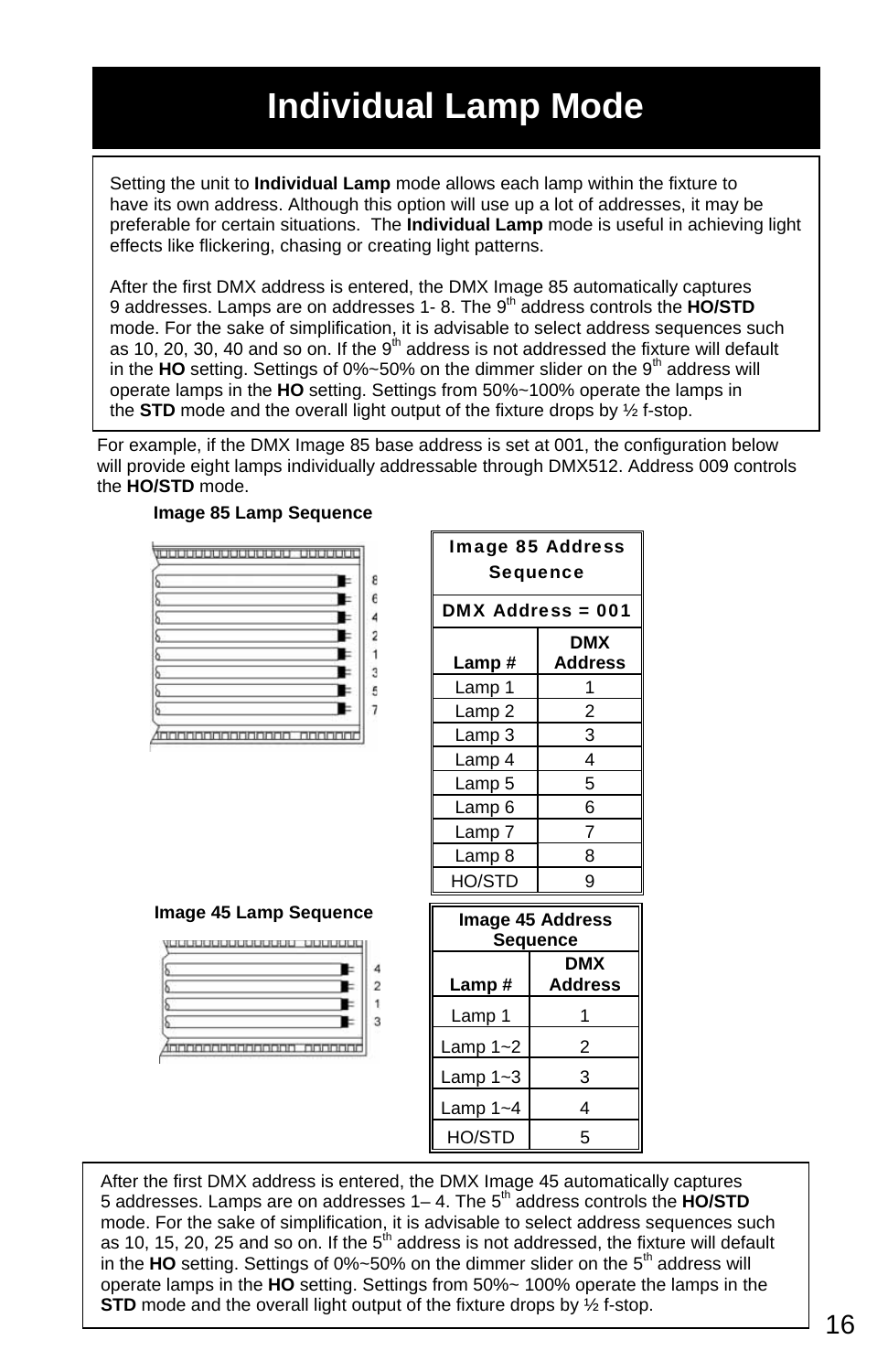## **Individual Lamp Mode**

Setting the unit to **Individual Lamp** mode allows each lamp within the fixture to have its own address. Although this option will use up a lot of addresses, it may be preferable for certain situations. The **Individual Lamp** mode is useful in achieving light effects like flickering, chasing or creating light patterns.

After the first DMX address is entered, the DMX Image 85 automatically captures 9 addresses. Lamps are on addresses 1- 8. The 9<sup>th</sup> address controls the HO/STD mode. For the sake of simplification, it is advisable to select address sequences such as 10, 20, 30, 40 and so on. If the  $9<sup>th</sup>$  address is not addressed the fixture will default in the  $HO$  setting. Settings of  $0\%$ ~50% on the dimmer slider on the  $9<sup>th</sup>$  address will operate lamps in the **HO** setting. Settings from 50%~100% operate the lamps in the **STD** mode and the overall light output of the fixture drops by ½ f-stop.

 For example, if the DMX Image 85 base address is set at 001, the configuration below will provide eight lamps individually addressable through DMX512. Address 009 controls the **HO/STD** mode.



#### **Image 85 Lamp Sequence**

|  |  |  | Image 45 Lamp Sequence |
|--|--|--|------------------------|
|--|--|--|------------------------|



|          | <b>Image 85 Address</b>  |  |  |
|----------|--------------------------|--|--|
| Sequence |                          |  |  |
|          | <b>DMX Address = 001</b> |  |  |
|          | DMX                      |  |  |
| Lamp #   | <b>Address</b>           |  |  |
| Lamp 1   | 1                        |  |  |
| Lamp 2   | 2                        |  |  |
| Lamp 3   | 3                        |  |  |
| Lamp 4   | 4                        |  |  |
| Lamp 5   | 5                        |  |  |
| Lamp 6   | 6                        |  |  |
| Lamp 7   | 7                        |  |  |
| Lamp 8   | 8                        |  |  |
| HO/STD   | 9                        |  |  |
|          | Image 45 Address         |  |  |
| Sequence |                          |  |  |
|          | <b>DMX</b>               |  |  |
| Lamp #   | Address                  |  |  |
|          |                          |  |  |

| Lamp#        | DMX<br>Address |
|--------------|----------------|
| Lamp 1       |                |
| Lamp $1 - 2$ | 2              |
| Lamp $1 - 3$ | 3              |
| Lamp 1~4     |                |
| HO/STD       | 5              |

After the first DMX address is entered, the DMX Image 45 automatically captures 5 addresses. Lamps are on addresses 1– 4. The 5<sup>th</sup> address controls the **HO/STD** mode. For the sake of simplification, it is advisable to select address sequences such as 10, 15, 20, 25 and so on. If the  $5<sup>th</sup>$  address is not addressed, the fixture will default in the HO setting. Settings of 0%~50% on the dimmer slider on the 5<sup>th</sup> address will operate lamps in the **HO** setting. Settings from 50%~ 100% operate the lamps in the **STD** mode and the overall light output of the fixture drops by  $\frac{1}{2}$  f-stop.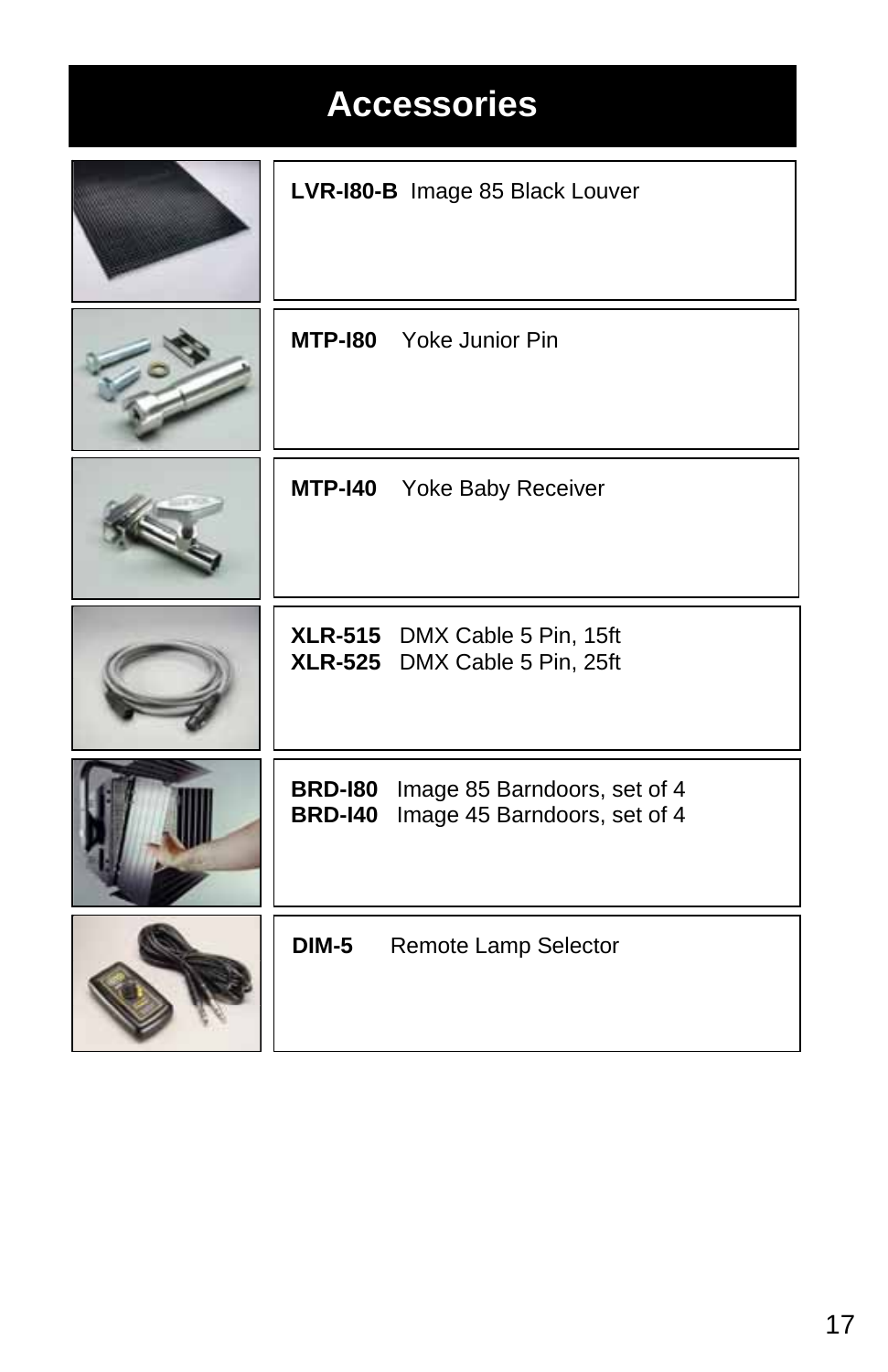# **Accessories**

|                | LVR-180-B Image 85 Black Louver                                      |
|----------------|----------------------------------------------------------------------|
|                | <b>MTP-180</b> Yoke Junior Pin                                       |
|                | MTP-140 Yoke Baby Receiver                                           |
|                | XLR-515 DMX Cable 5 Pin, 15ft<br>XLR-525 DMX Cable 5 Pin, 25ft       |
| <b>BRD-140</b> | BRD-180 Image 85 Barndoors, set of 4<br>Image 45 Barndoors, set of 4 |
| <b>DIM-5</b>   | Remote Lamp Selector                                                 |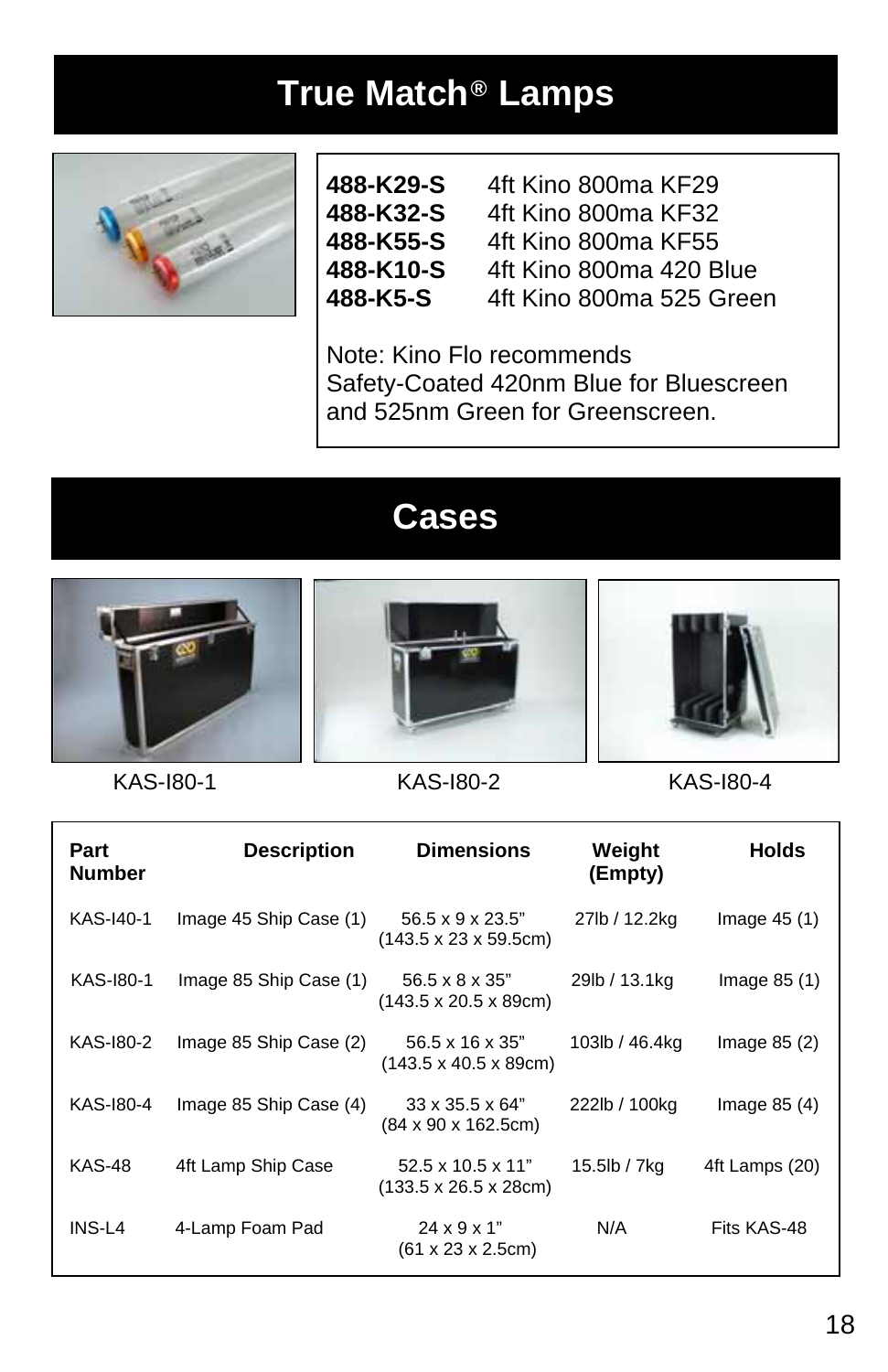## **True Match Lamps ®**



- **488-K29-S** 4ft Kino 800ma KF29
- **488-K32-S** 4ft Kino 800ma KF32<br>**488-K55-S** 4ft Kino 800ma KF55 **488-K55-S** 4ft Kino 800ma KF55 **488-K10-S** 4ft Kino 800ma 420 Blue **488-K5-S** 4ft Kino 800ma 525 Green

Note: Kino Flo recommends Safety-Coated 420nm Blue for Bluescreen and 525nm Green for Greenscreen.

## **Cases**









KAS-I80-1 KAS-I80-2 KAS-I80-4

| Part<br><b>Number</b> | <b>Description</b>     | <b>Dimensions</b>                                                          | Weight<br>(Empty) | <b>Holds</b>   |
|-----------------------|------------------------|----------------------------------------------------------------------------|-------------------|----------------|
| KAS-140-1             | Image 45 Ship Case (1) | $56.5 \times 9 \times 23.5$ "<br>$(143.5 \times 23 \times 59.5 \text{cm})$ | 27lb / 12.2kg     | Image $45(1)$  |
| KAS-180-1             | Image 85 Ship Case (1) | 56.5 x 8 x 35"<br>(143.5 x 20.5 x 89cm)                                    | 29lb / 13.1kg     | Image $85(1)$  |
| KAS-180-2             | Image 85 Ship Case (2) | $56.5 \times 16 \times 35$ "<br>$(143.5 \times 40.5 \times 89$ cm)         | 103lb / 46.4kg    | Image $85(2)$  |
| KAS-180-4             | Image 85 Ship Case (4) | $33 \times 35.5 \times 64$ "<br>(84 x 90 x 162.5cm)                        | 222lb / 100kg     | Image 85 (4)   |
| <b>KAS-48</b>         | 4ft Lamp Ship Case     | $52.5 \times 10.5 \times 11$ "<br>$(133.5 \times 26.5 \times 28$ cm)       | 15.5lb / 7kg      | 4ft Lamps (20) |
| INS-L4                | 4-Lamp Foam Pad        | $24 \times 9 \times 1$ "<br>$(61 \times 23 \times 2.5 \text{cm})$          | N/A               | Fits KAS-48    |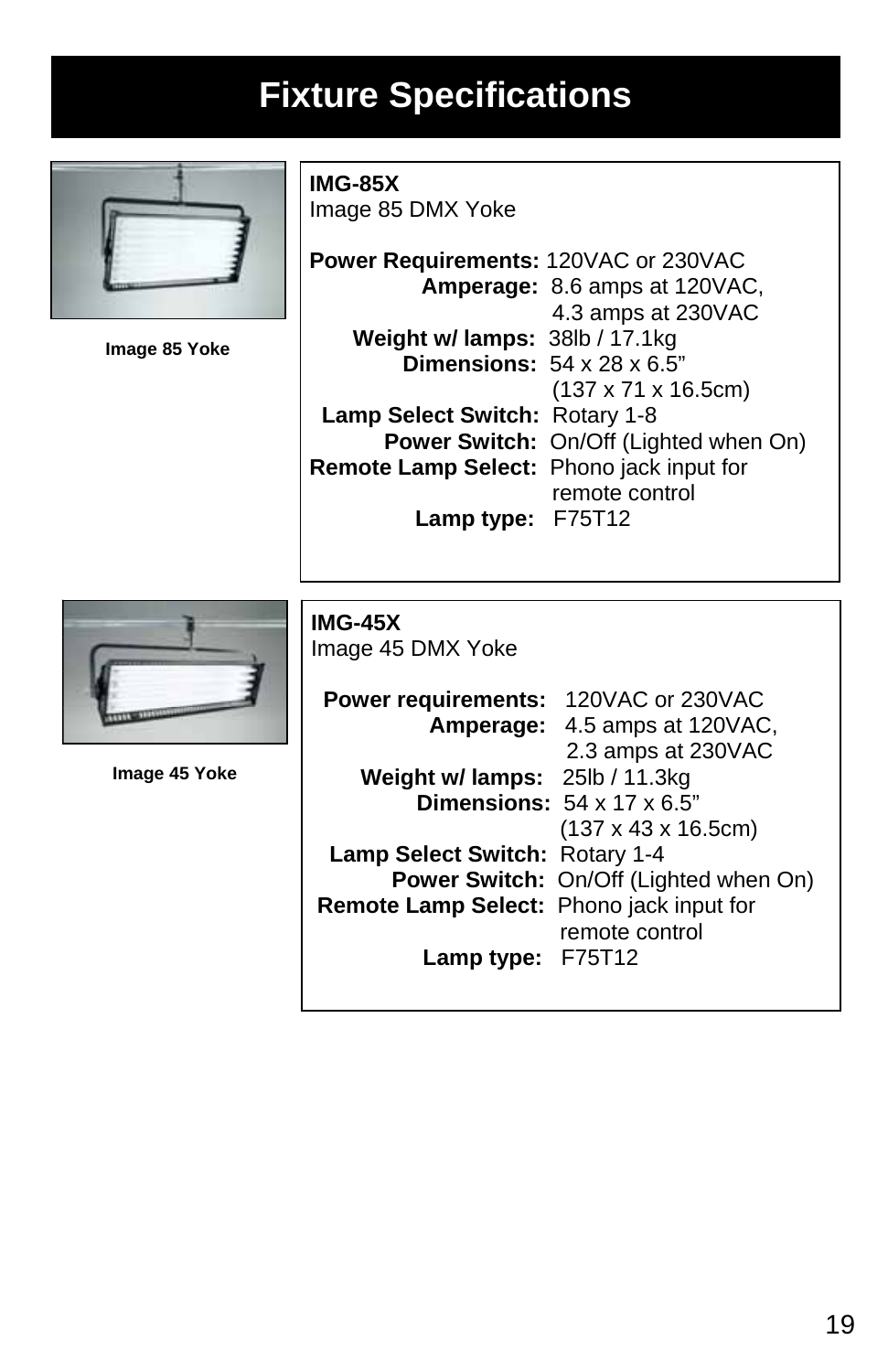# **Fixture Specifications**



**Image 85 Yoke** 

**IMG-85X**  Image 85 DMX Yoke

**IMG-45X** 

Image 45 DMX Yoke

**Power Requirements:** 120VAC or 230VAC  **Amperage:** 8.6 amps at 120VAC, 4.3 amps at 230VAC  **Weight w/ lamps:** 38lb / 17.1kg  **Dimensions:** 54 x 28 x 6.5" (137 x 71 x 16.5cm)  **Lamp Select Switch:** Rotary 1-8  **Power Switch:** On/Off (Lighted when On) **Remote Lamp Select:** Phono jack input for remote control  **Lamp type:** F75T12



**Image 45 Yoke** 

| <b>Power requirements: 120VAC or 230VAC</b> |                                                |
|---------------------------------------------|------------------------------------------------|
|                                             | Amperage: 4.5 amps at 120VAC,                  |
|                                             | 2.3 amps at 230VAC                             |
| Weight w/ lamps: 25lb / 11.3kg              |                                                |
|                                             | <b>Dimensions:</b> $54 \times 17 \times 6.5$ " |
|                                             | $(137 \times 43 \times 16.5 \text{cm})$        |
| Lamp Select Switch: Rotary 1-4              |                                                |
|                                             | Power Switch: On/Off (Lighted when On)         |
| Remote Lamp Select: Phono jack input for    |                                                |
|                                             | remote control                                 |
| Lamp type: F75T12                           |                                                |
|                                             |                                                |